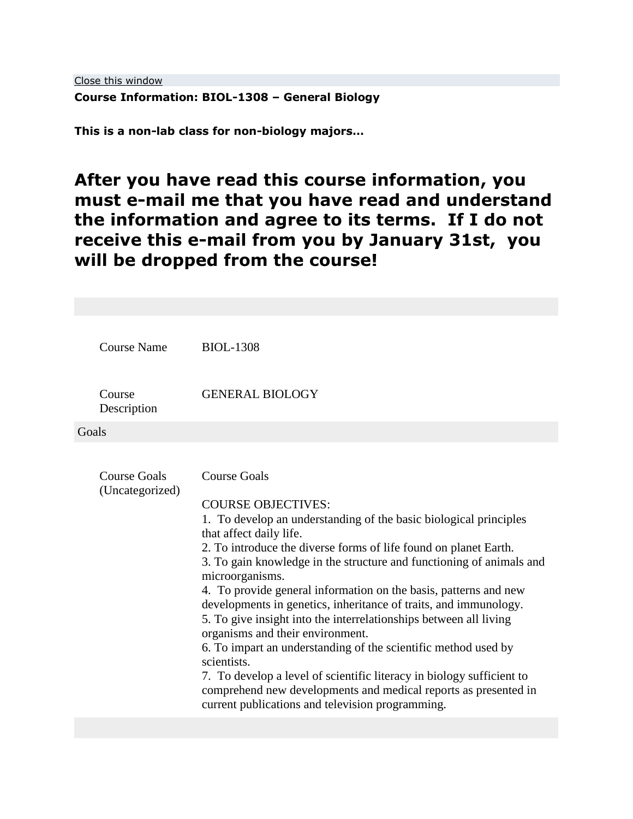# **Course Information: BIOL-1308 – General Biology**

**This is a non-lab class for non-biology majors…**

# **After you have read this course information, you must e-mail me that you have read and understand the information and agree to its terms. If I do not receive this e-mail from you by January 31st, you will be dropped from the course!**

| <b>Course Name</b>                     | <b>BIOL-1308</b>                                                                                                                                                                                                                                                                                                                                                                                                                                                                                                                                                                                                                                                                                                                                                                                                                                  |
|----------------------------------------|---------------------------------------------------------------------------------------------------------------------------------------------------------------------------------------------------------------------------------------------------------------------------------------------------------------------------------------------------------------------------------------------------------------------------------------------------------------------------------------------------------------------------------------------------------------------------------------------------------------------------------------------------------------------------------------------------------------------------------------------------------------------------------------------------------------------------------------------------|
| Course<br>Description                  | <b>GENERAL BIOLOGY</b>                                                                                                                                                                                                                                                                                                                                                                                                                                                                                                                                                                                                                                                                                                                                                                                                                            |
| Goals                                  |                                                                                                                                                                                                                                                                                                                                                                                                                                                                                                                                                                                                                                                                                                                                                                                                                                                   |
| <b>Course Goals</b><br>(Uncategorized) | <b>Course Goals</b><br><b>COURSE OBJECTIVES:</b><br>1. To develop an understanding of the basic biological principles<br>that affect daily life.<br>2. To introduce the diverse forms of life found on planet Earth.<br>3. To gain knowledge in the structure and functioning of animals and<br>microorganisms.<br>4. To provide general information on the basis, patterns and new<br>developments in genetics, inheritance of traits, and immunology.<br>5. To give insight into the interrelationships between all living<br>organisms and their environment.<br>6. To impart an understanding of the scientific method used by<br>scientists.<br>7. To develop a level of scientific literacy in biology sufficient to<br>comprehend new developments and medical reports as presented in<br>current publications and television programming. |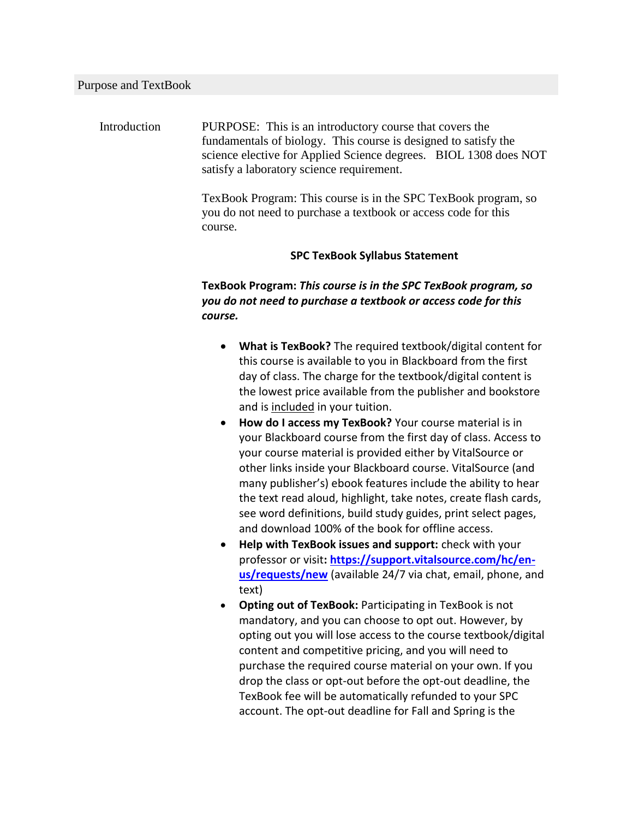Introduction PURPOSE: This is an introductory course that covers the fundamentals of biology. This course is designed to satisfy the science elective for Applied Science degrees. BIOL 1308 does NOT satisfy a laboratory science requirement.

> TexBook Program: This course is in the SPC TexBook program, so you do not need to purchase a textbook or access code for this course.

#### **SPC TexBook Syllabus Statement**

# **TexBook Program:** *This course is in the SPC TexBook program, so you do not need to purchase a textbook or access code for this course.*

- **What is TexBook?** The required textbook/digital content for this course is available to you in Blackboard from the first day of class. The charge for the textbook/digital content is the lowest price available from the publisher and bookstore and is included in your tuition.
- **How do I access my TexBook?** Your course material is in your Blackboard course from the first day of class. Access to your course material is provided either by VitalSource or other links inside your Blackboard course. VitalSource (and many publisher's) ebook features include the ability to hear the text read aloud, highlight, take notes, create flash cards, see word definitions, build study guides, print select pages, and download 100% of the book for offline access.
- **Help with TexBook issues and support:** check with your professor or visit**: [https://support.vitalsource.com/hc/en](https://support.vitalsource.com/hc/en-us/requests/new)[us/requests/new](https://support.vitalsource.com/hc/en-us/requests/new)** (available 24/7 via chat, email, phone, and text)
- **Opting out of TexBook:** Participating in TexBook is not mandatory, and you can choose to opt out. However, by opting out you will lose access to the course textbook/digital content and competitive pricing, and you will need to purchase the required course material on your own. If you drop the class or opt-out before the opt-out deadline, the TexBook fee will be automatically refunded to your SPC account. The opt-out deadline for Fall and Spring is the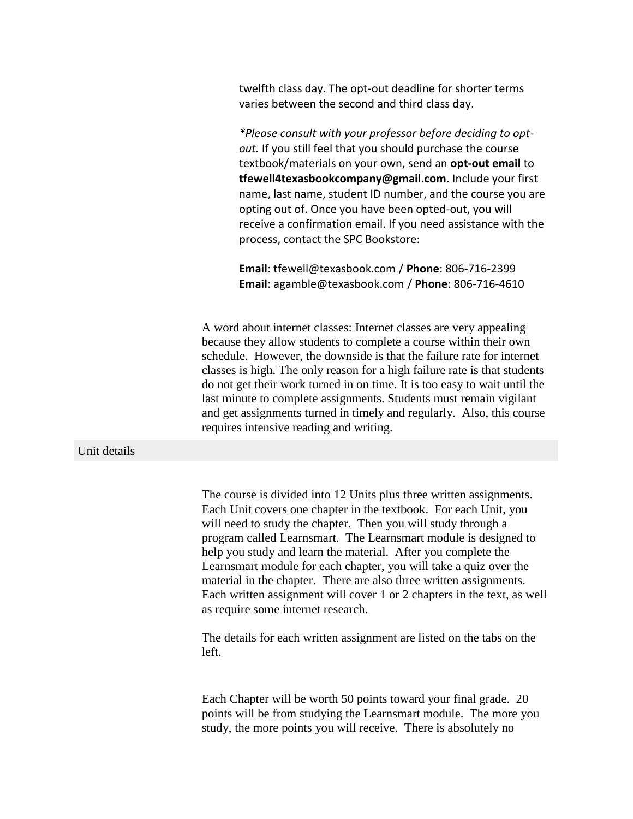twelfth class day. The opt-out deadline for shorter terms varies between the second and third class day.

*\*Please consult with your professor before deciding to optout.* If you still feel that you should purchase the course textbook/materials on your own, send an **opt-out email** to **tfewell4texasbookcompany@gmail.com**. Include your first name, last name, student ID number, and the course you are opting out of. Once you have been opted-out, you will receive a confirmation email. If you need assistance with the process, contact the SPC Bookstore:

**Email**: tfewell@texasbook.com / **Phone**: 806-716-2399 **Email**: agamble@texasbook.com / **Phone**: 806-716-4610

A word about internet classes: Internet classes are very appealing because they allow students to complete a course within their own schedule. However, the downside is that the failure rate for internet classes is high. The only reason for a high failure rate is that students do not get their work turned in on time. It is too easy to wait until the last minute to complete assignments. Students must remain vigilant and get assignments turned in timely and regularly. Also, this course requires intensive reading and writing.

#### Unit details

The course is divided into 12 Units plus three written assignments. Each Unit covers one chapter in the textbook. For each Unit, you will need to study the chapter. Then you will study through a program called Learnsmart. The Learnsmart module is designed to help you study and learn the material. After you complete the Learnsmart module for each chapter, you will take a quiz over the material in the chapter. There are also three written assignments. Each written assignment will cover 1 or 2 chapters in the text, as well as require some internet research.

The details for each written assignment are listed on the tabs on the left.

Each Chapter will be worth 50 points toward your final grade. 20 points will be from studying the Learnsmart module. The more you study, the more points you will receive. There is absolutely no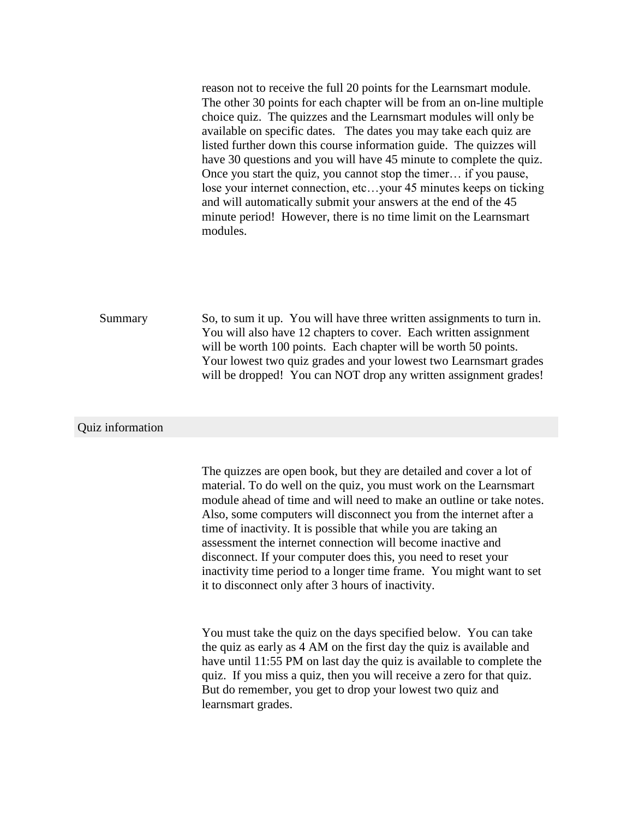reason not to receive the full 20 points for the Learnsmart module. The other 30 points for each chapter will be from an on-line multiple choice quiz. The quizzes and the Learnsmart modules will only be available on specific dates. The dates you may take each quiz are listed further down this course information guide. The quizzes will have 30 questions and you will have 45 minute to complete the quiz. Once you start the quiz, you cannot stop the timer… if you pause, lose your internet connection, etc…your 45 minutes keeps on ticking and will automatically submit your answers at the end of the 45 minute period! However, there is no time limit on the Learnsmart modules.

Summary So, to sum it up. You will have three written assignments to turn in. You will also have 12 chapters to cover. Each written assignment will be worth 100 points. Each chapter will be worth 50 points. Your lowest two quiz grades and your lowest two Learnsmart grades will be dropped! You can NOT drop any written assignment grades!

#### Quiz information

The quizzes are open book, but they are detailed and cover a lot of material. To do well on the quiz, you must work on the Learnsmart module ahead of time and will need to make an outline or take notes. Also, some computers will disconnect you from the internet after a time of inactivity. It is possible that while you are taking an assessment the internet connection will become inactive and disconnect. If your computer does this, you need to reset your inactivity time period to a longer time frame. You might want to set it to disconnect only after 3 hours of inactivity.

You must take the quiz on the days specified below. You can take the quiz as early as 4 AM on the first day the quiz is available and have until 11:55 PM on last day the quiz is available to complete the quiz. If you miss a quiz, then you will receive a zero for that quiz. But do remember, you get to drop your lowest two quiz and learnsmart grades.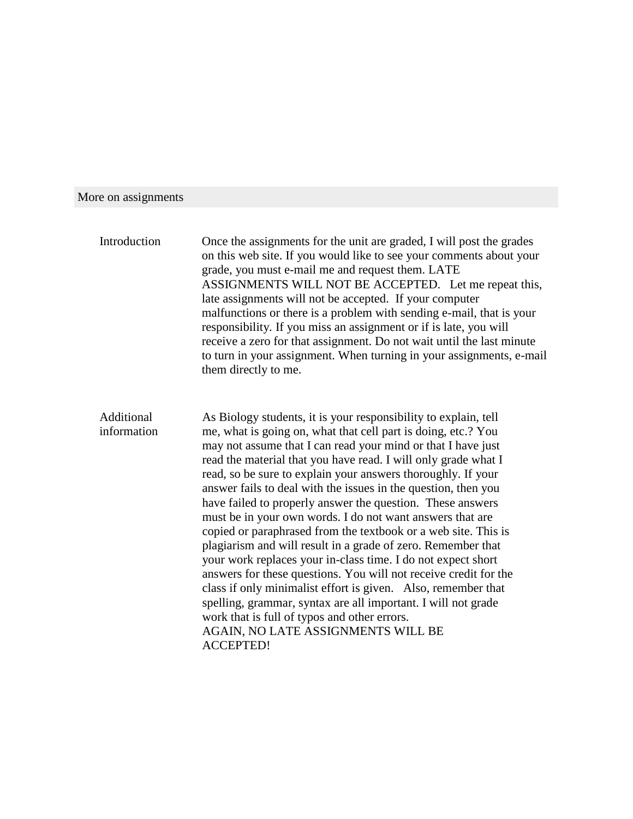# More on assignments

| Introduction              | Once the assignments for the unit are graded, I will post the grades<br>on this web site. If you would like to see your comments about your<br>grade, you must e-mail me and request them. LATE<br>ASSIGNMENTS WILL NOT BE ACCEPTED. Let me repeat this,<br>late assignments will not be accepted. If your computer<br>malfunctions or there is a problem with sending e-mail, that is your<br>responsibility. If you miss an assignment or if is late, you will<br>receive a zero for that assignment. Do not wait until the last minute<br>to turn in your assignment. When turning in your assignments, e-mail<br>them directly to me.                                                                                                                                                                                                                                                                                                                                                                                                         |
|---------------------------|---------------------------------------------------------------------------------------------------------------------------------------------------------------------------------------------------------------------------------------------------------------------------------------------------------------------------------------------------------------------------------------------------------------------------------------------------------------------------------------------------------------------------------------------------------------------------------------------------------------------------------------------------------------------------------------------------------------------------------------------------------------------------------------------------------------------------------------------------------------------------------------------------------------------------------------------------------------------------------------------------------------------------------------------------|
| Additional<br>information | As Biology students, it is your responsibility to explain, tell<br>me, what is going on, what that cell part is doing, etc.? You<br>may not assume that I can read your mind or that I have just<br>read the material that you have read. I will only grade what I<br>read, so be sure to explain your answers thoroughly. If your<br>answer fails to deal with the issues in the question, then you<br>have failed to properly answer the question. These answers<br>must be in your own words. I do not want answers that are<br>copied or paraphrased from the textbook or a web site. This is<br>plagiarism and will result in a grade of zero. Remember that<br>your work replaces your in-class time. I do not expect short<br>answers for these questions. You will not receive credit for the<br>class if only minimalist effort is given. Also, remember that<br>spelling, grammar, syntax are all important. I will not grade<br>work that is full of typos and other errors.<br>AGAIN, NO LATE ASSIGNMENTS WILL BE<br><b>ACCEPTED!</b> |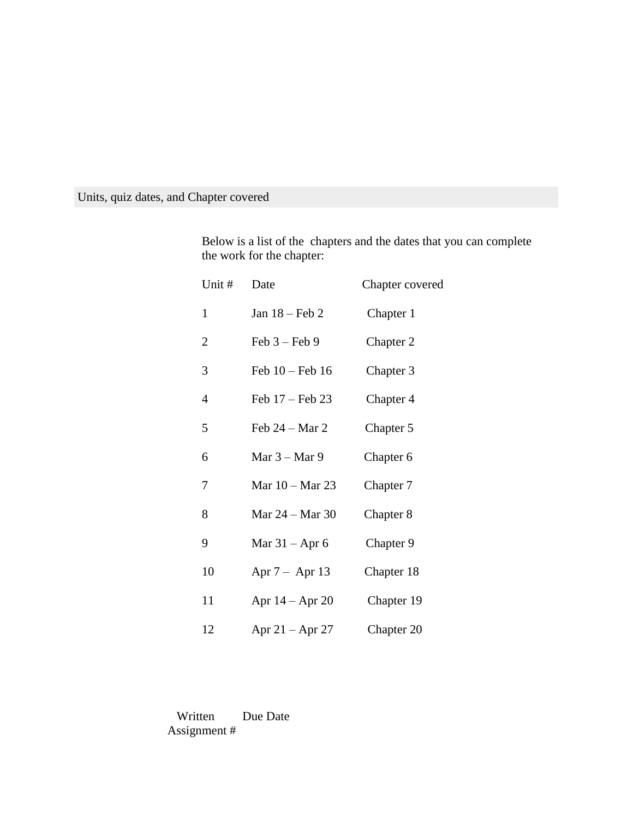Units, quiz dates, and Chapter covered

Below is a list of the chapters and the dates that you can complete the work for the chapter:

| Unit #       | Date                | Chapter covered |
|--------------|---------------------|-----------------|
| $\mathbf{1}$ | Jan $18$ – Feb 2    | Chapter 1       |
| 2            | Feb $3 -$ Feb 9     | Chapter 2       |
| 3            | Feb $10$ – Feb $16$ | Chapter 3       |
| 4            | Feb $17$ – Feb 23   | Chapter 4       |
| 5            | Feb $24 - Mar 2$    | Chapter 5       |
| 6            | Mar $3 -$ Mar 9     | Chapter 6       |
| 7            | Mar 10 – Mar 23     | Chapter 7       |
| 8            | Mar 24 – Mar 30     | Chapter 8       |
| 9            | Mar $31 -$ Apr 6    | Chapter 9       |
| 10           | Apr $7 -$ Apr 13    | Chapter 18      |
| 11           | Apr $14 -$ Apr $20$ | Chapter 19      |
| 12           | Apr $21 -$ Apr 27   | Chapter 20      |

 Written Due Date Assignment #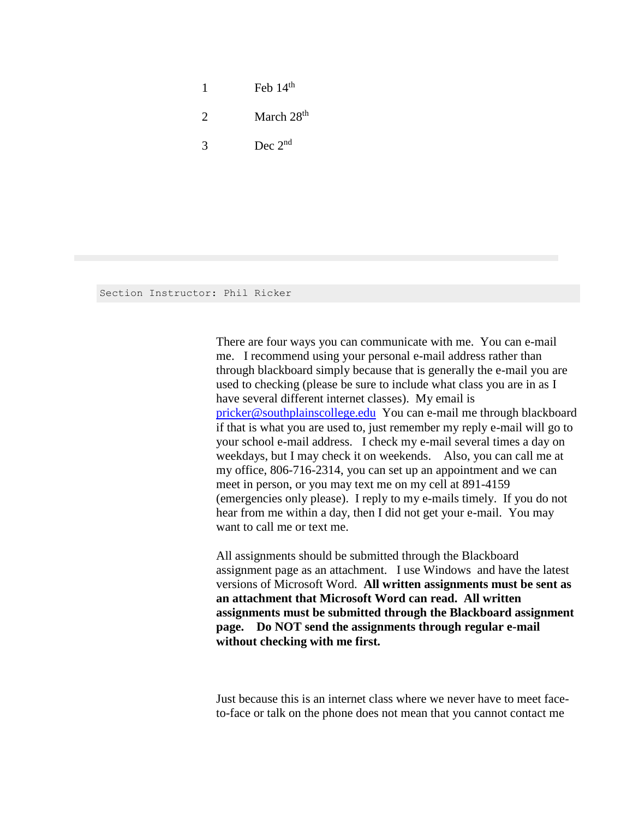1 Feb  $14<sup>th</sup>$ 2 March  $28<sup>th</sup>$  $3 \qquad \qquad \text{Dec } 2^{\text{nd}}$ 

Section Instructor: Phil Ricker

There are four ways you can communicate with me. You can e-mail me. I recommend using your personal e-mail address rather than through blackboard simply because that is generally the e-mail you are used to checking (please be sure to include what class you are in as I have several different internet classes). My email is [pricker@southplainscollege.edu](mailto:pricker@southplainscollege.edu) You can e-mail me through blackboard if that is what you are used to, just remember my reply e-mail will go to your school e-mail address. I check my e-mail several times a day on weekdays, but I may check it on weekends. Also, you can call me at my office, 806-716-2314, you can set up an appointment and we can meet in person, or you may text me on my cell at 891-4159 (emergencies only please). I reply to my e-mails timely. If you do not hear from me within a day, then I did not get your e-mail. You may want to call me or text me.

All assignments should be submitted through the Blackboard assignment page as an attachment. I use Windows and have the latest versions of Microsoft Word. **All written assignments must be sent as an attachment that Microsoft Word can read. All written assignments must be submitted through the Blackboard assignment page. Do NOT send the assignments through regular e-mail without checking with me first.**

Just because this is an internet class where we never have to meet faceto-face or talk on the phone does not mean that you cannot contact me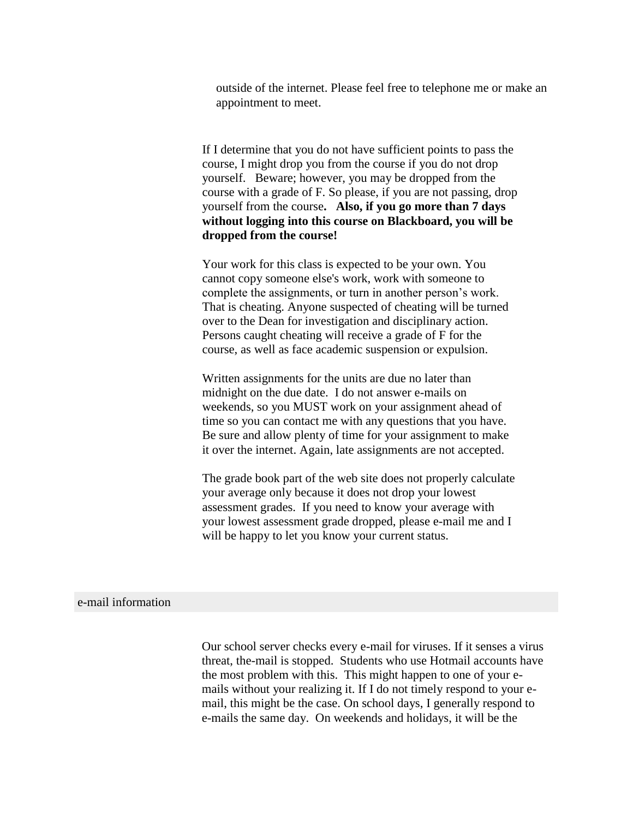outside of the internet. Please feel free to telephone me or make an appointment to meet.

If I determine that you do not have sufficient points to pass the course, I might drop you from the course if you do not drop yourself. Beware; however, you may be dropped from the course with a grade of F. So please, if you are not passing, drop yourself from the course**. Also, if you go more than 7 days without logging into this course on Blackboard, you will be dropped from the course!**

Your work for this class is expected to be your own. You cannot copy someone else's work, work with someone to complete the assignments, or turn in another person's work. That is cheating. Anyone suspected of cheating will be turned over to the Dean for investigation and disciplinary action. Persons caught cheating will receive a grade of F for the course, as well as face academic suspension or expulsion.

Written assignments for the units are due no later than midnight on the due date. I do not answer e-mails on weekends, so you MUST work on your assignment ahead of time so you can contact me with any questions that you have. Be sure and allow plenty of time for your assignment to make it over the internet. Again, late assignments are not accepted.

The grade book part of the web site does not properly calculate your average only because it does not drop your lowest assessment grades. If you need to know your average with your lowest assessment grade dropped, please e-mail me and I will be happy to let you know your current status.

#### e-mail information

Our school server checks every e-mail for viruses. If it senses a virus threat, the-mail is stopped. Students who use Hotmail accounts have the most problem with this. This might happen to one of your emails without your realizing it. If I do not timely respond to your email, this might be the case. On school days, I generally respond to e-mails the same day. On weekends and holidays, it will be the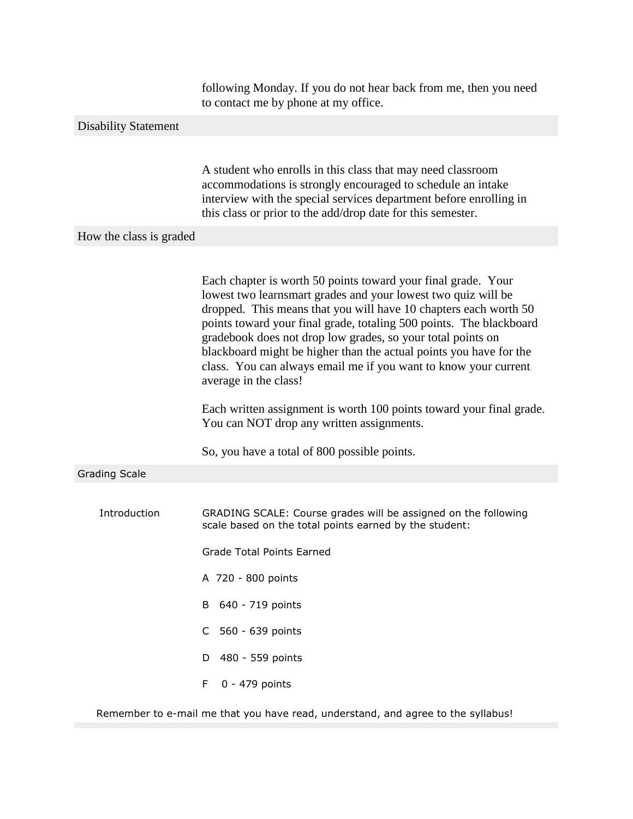following Monday. If you do not hear back from me, then you need to contact me by phone at my office.

# Disability Statement

A student who enrolls in this class that may need classroom accommodations is strongly encouraged to schedule an intake interview with the special services department before enrolling in this class or prior to the add/drop date for this semester.

#### How the class is graded

|                      | Each chapter is worth 50 points toward your final grade. Your<br>lowest two learnsmart grades and your lowest two quiz will be<br>dropped. This means that you will have 10 chapters each worth 50<br>points toward your final grade, totaling 500 points. The blackboard<br>gradebook does not drop low grades, so your total points on |
|----------------------|------------------------------------------------------------------------------------------------------------------------------------------------------------------------------------------------------------------------------------------------------------------------------------------------------------------------------------------|
|                      | blackboard might be higher than the actual points you have for the<br>class. You can always email me if you want to know your current<br>average in the class!                                                                                                                                                                           |
|                      | Each written assignment is worth 100 points toward your final grade.<br>You can NOT drop any written assignments.                                                                                                                                                                                                                        |
|                      | So, you have a total of 800 possible points.                                                                                                                                                                                                                                                                                             |
| <b>Grading Scale</b> |                                                                                                                                                                                                                                                                                                                                          |
|                      |                                                                                                                                                                                                                                                                                                                                          |
| Introduction         | GRADING SCALE: Course grades will be assigned on the following<br>scale based on the total points earned by the student:                                                                                                                                                                                                                 |
|                      | <b>Grade Total Points Earned</b>                                                                                                                                                                                                                                                                                                         |
|                      | A 720 - 800 points                                                                                                                                                                                                                                                                                                                       |
|                      | 640 - 719 points<br>В                                                                                                                                                                                                                                                                                                                    |
|                      | C<br>560 - 639 points                                                                                                                                                                                                                                                                                                                    |
|                      | 480 - 559 points<br>D.                                                                                                                                                                                                                                                                                                                   |
|                      | 0 - 479 points<br>F.                                                                                                                                                                                                                                                                                                                     |

Remember to e-mail me that you have read, understand, and agree to the syllabus!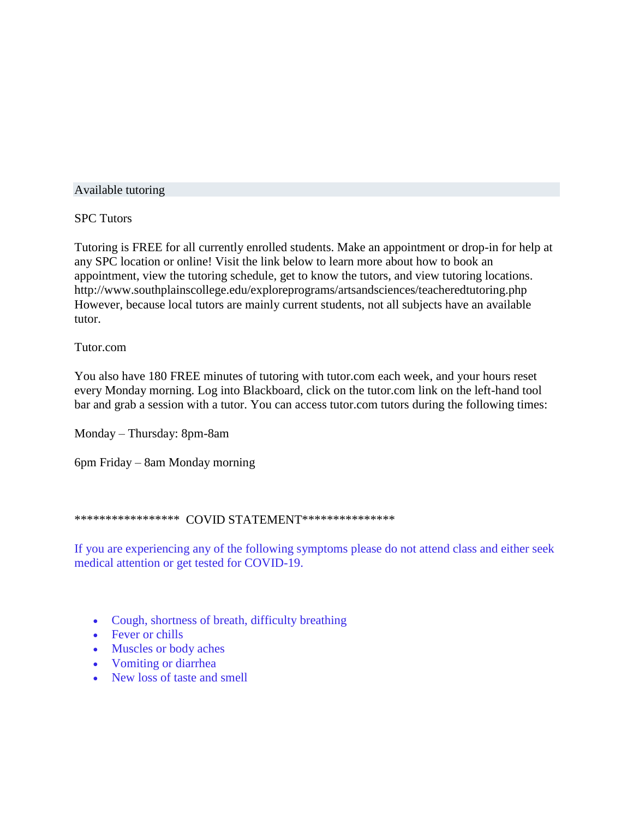#### Available tutoring

### SPC Tutors

Tutoring is FREE for all currently enrolled students. Make an appointment or drop-in for help at any SPC location or online! Visit the link below to learn more about how to book an appointment, view the tutoring schedule, get to know the tutors, and view tutoring locations. http://www.southplainscollege.edu/exploreprograms/artsandsciences/teacheredtutoring.php However, because local tutors are mainly current students, not all subjects have an available tutor.

#### Tutor.com

You also have 180 FREE minutes of tutoring with tutor.com each week, and your hours reset every Monday morning. Log into Blackboard, click on the tutor.com link on the left-hand tool bar and grab a session with a tutor. You can access tutor.com tutors during the following times:

Monday – Thursday: 8pm-8am

6pm Friday – 8am Monday morning

#### \*\*\*\*\*\*\*\*\*\*\*\*\*\*\*\*\*\*\*\* COVID STATEMENT\*\*\*\*\*\*\*\*\*\*\*\*\*\*\*\*

If you are experiencing any of the following symptoms please do not attend class and either seek medical attention or get tested for COVID-19.

- Cough, shortness of breath, difficulty breathing
- Fever or chills
- Muscles or body aches
- Vomiting or diarrhea
- New loss of taste and smell